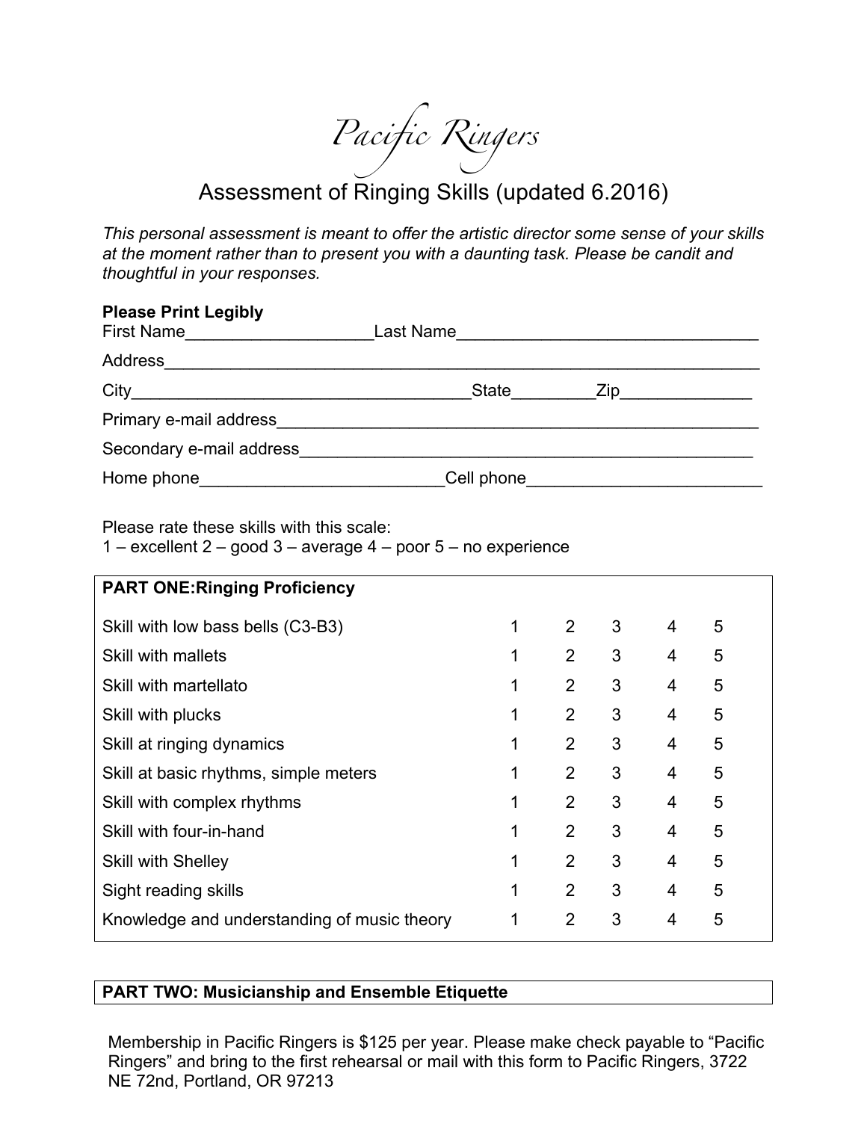*Pacific Ringers*

## Assessment of Ringing Skills (updated 6.2016)

*This personal assessment is meant to offer the artistic director some sense of your skills at the moment rather than to present you with a daunting task. Please be candit and thoughtful in your responses.*

| <b>Please Print Legibly</b><br>First Name | Last Name                        |  |
|-------------------------------------------|----------------------------------|--|
| Address                                   |                                  |  |
| City                                      | State<br>$\mathsf{Zip}_{\_\!\_}$ |  |
| Primary e-mail address                    |                                  |  |
| Secondary e-mail address                  |                                  |  |
| Home phone_                               | Cell phone                       |  |

Please rate these skills with this scale:

1 – excellent  $2 - good 3 - average 4 - poor 5 - no experience$ 

| <b>PART ONE: Ringing Proficiency</b>        |   |                |   |   |   |  |
|---------------------------------------------|---|----------------|---|---|---|--|
| Skill with low bass bells (C3-B3)           | 1 | $\overline{2}$ | 3 | 4 | 5 |  |
| <b>Skill with mallets</b>                   | 1 | 2              | 3 | 4 | 5 |  |
| Skill with martellato                       | 1 | $\overline{2}$ | 3 | 4 | 5 |  |
| Skill with plucks                           | 1 | $\overline{2}$ | 3 | 4 | 5 |  |
| Skill at ringing dynamics                   | 1 | $\overline{2}$ | 3 | 4 | 5 |  |
| Skill at basic rhythms, simple meters       | 1 | 2              | 3 | 4 | 5 |  |
| Skill with complex rhythms                  | 1 | 2              | 3 | 4 | 5 |  |
| Skill with four-in-hand                     | 1 | 2              | 3 | 4 | 5 |  |
| <b>Skill with Shelley</b>                   | 1 | 2              | 3 | 4 | 5 |  |
| Sight reading skills                        | 1 | $\overline{2}$ | 3 | 4 | 5 |  |
| Knowledge and understanding of music theory | 1 | $\overline{2}$ | 3 | 4 | 5 |  |
|                                             |   |                |   |   |   |  |

## **PART TWO: Musicianship and Ensemble Etiquette**

Membership in Pacific Ringers is \$125 per year. Please make check payable to "Pacific Ringers" and bring to the first rehearsal or mail with this form to Pacific Ringers, 3722 NE 72nd, Portland, OR 97213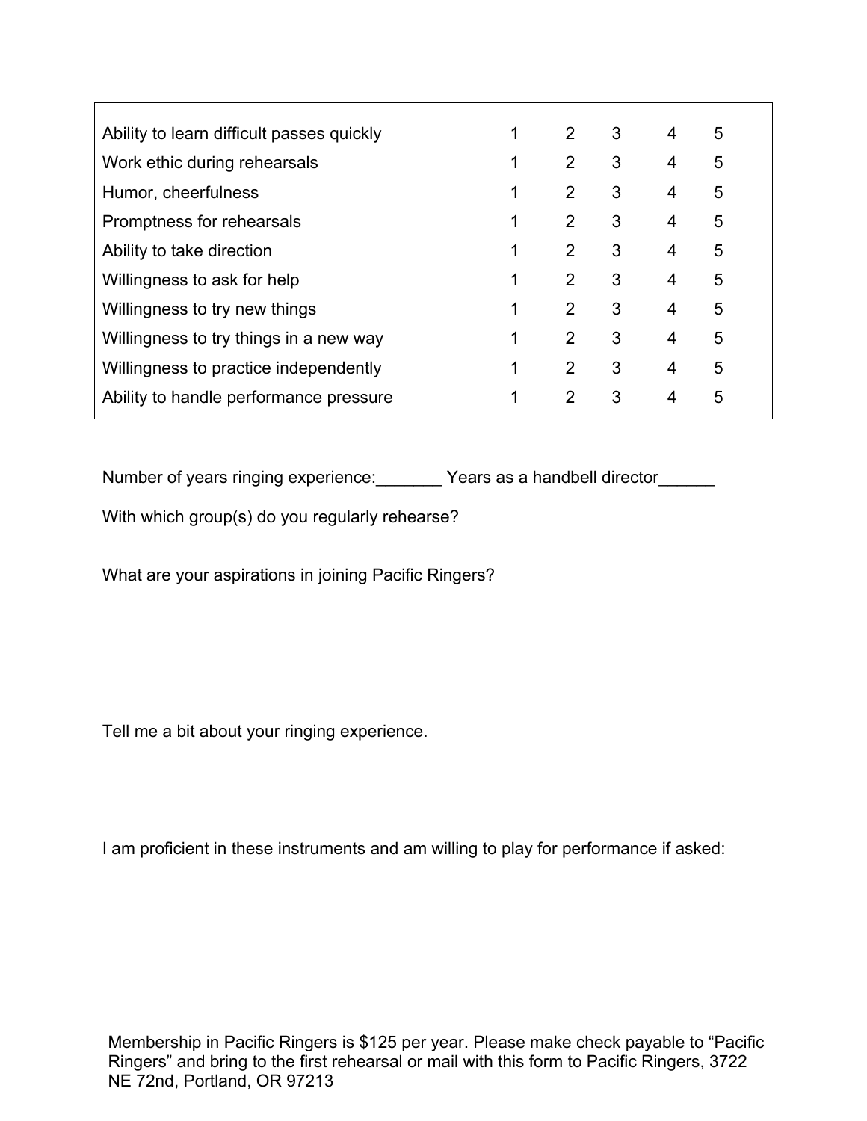| Ability to learn difficult passes quickly |   | 2              | 3 | $\overline{4}$ | 5 |  |
|-------------------------------------------|---|----------------|---|----------------|---|--|
| Work ethic during rehearsals              |   | $\overline{2}$ | 3 | 4              | 5 |  |
| Humor, cheerfulness                       |   | 2              | 3 | 4              | 5 |  |
| Promptness for rehearsals                 |   | 2              | 3 | 4              | 5 |  |
| Ability to take direction                 | 1 | $\overline{2}$ | 3 | 4              | 5 |  |
| Willingness to ask for help               | 1 | 2              | 3 | 4              | 5 |  |
| Willingness to try new things             |   | 2              | 3 | 4              | 5 |  |
| Willingness to try things in a new way    |   | 2              | 3 | 4              | 5 |  |
| Willingness to practice independently     | 1 | $\overline{2}$ | 3 | 4              | 5 |  |
| Ability to handle performance pressure    |   | 2              | 3 | 4              | 5 |  |
|                                           |   |                |   |                |   |  |

Number of years ringing experience: Years as a handbell director

With which group(s) do you regularly rehearse?

What are your aspirations in joining Pacific Ringers?

Tell me a bit about your ringing experience.

I am proficient in these instruments and am willing to play for performance if asked:

Membership in Pacific Ringers is \$125 per year. Please make check payable to "Pacific Ringers" and bring to the first rehearsal or mail with this form to Pacific Ringers, 3722 NE 72nd, Portland, OR 97213